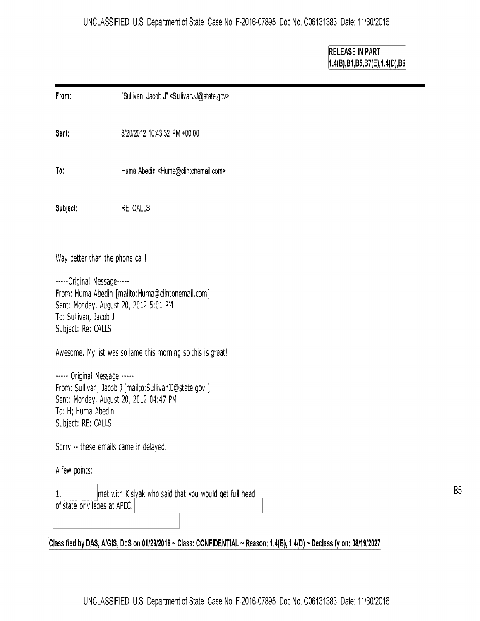**RELEASE IN PART 1.4(8)181,85,87(E),1.4(D),86** 

| From:                                                                                                                                                                        | "Sullivan, Jacob J" <sullivanjj@state.gov></sullivanjj@state.gov> |  |
|------------------------------------------------------------------------------------------------------------------------------------------------------------------------------|-------------------------------------------------------------------|--|
| Sent:                                                                                                                                                                        | 8/20/2012 10:43:32 PM +00:00                                      |  |
| To:                                                                                                                                                                          | Huma Abedin <huma@clintonemail.com></huma@clintonemail.com>       |  |
| Subject:                                                                                                                                                                     | <b>RE: CALLS</b>                                                  |  |
| Way better than the phone call!                                                                                                                                              |                                                                   |  |
| -----Original Message-----<br>From: Huma Abedin [mailto:Huma@clintonemail.com]<br>Sent: Monday, August 20, 2012 5:01 PM<br>To: Sullivan, Jacob J<br>Subject: Re: CALLS       |                                                                   |  |
| Awesome. My list was so lame this morning so this is great!                                                                                                                  |                                                                   |  |
| ----- Original Message -----<br>From: Sullivan, Jacob J [mailto:SullivanJJ@state.gov ]<br>Sent: Monday, August 20, 2012 04:47 PM<br>To: H; Huma Abedin<br>Subject: RE: CALLS |                                                                   |  |
| Sorry -- these emails came in delayed.                                                                                                                                       |                                                                   |  |
| A few points:                                                                                                                                                                |                                                                   |  |
| met with Kislyak who said that you would get full head<br>1.<br>of state privileges at APEC.                                                                                 |                                                                   |  |
|                                                                                                                                                                              |                                                                   |  |

Classified by DAS, A/GIS, DoS on 01/29/2016 ~ Class: CONFIDENTIAL ~ Reason: 1.4(B), 1.4(D) ~ Declassify on: 08/19/2027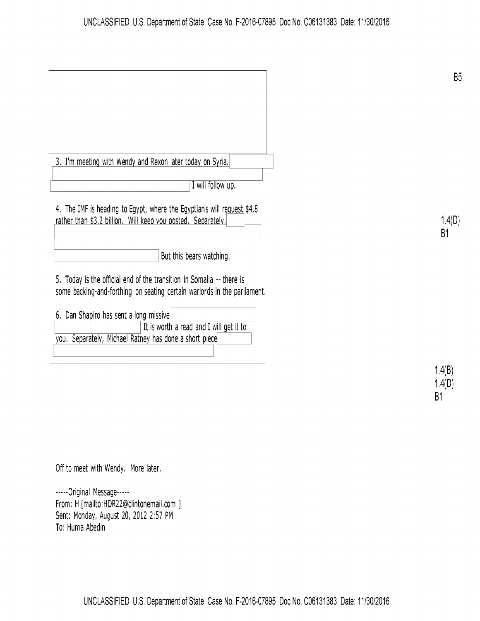| 3. I'm meeting with Wendy and Rexon later today on Syria.                                                                                         |                   |
|---------------------------------------------------------------------------------------------------------------------------------------------------|-------------------|
| I will follow up.                                                                                                                                 |                   |
| 4. The IMF is heading to Egypt, where the Egyptians will request \$4.8<br>rather than \$3.2 billion. Will keep you posted. Separately,            | 1.4(<br><b>B1</b> |
| But this bears watching.                                                                                                                          |                   |
| 5. Today is the official end of the transition in Somalia -- there is<br>some backing-and-forthing on seating certain warlords in the parliament. |                   |
| 6. Dan Shapiro has sent a long missive                                                                                                            |                   |
| It is worth a read and I will get it to                                                                                                           |                   |
| you. Separately, Michael Ratney has done a short piece                                                                                            |                   |
|                                                                                                                                                   |                   |
|                                                                                                                                                   | 1.4(B)            |
|                                                                                                                                                   | .4(D)             |

1.4(0) 81

**B5** 

1.4(0) **B1** 

Off to meet with Wendy. More later.

-----Original Message----- From: H [mailto:HDR22@clintonemail.com ] Sent: Monday, August 20, 2012 2:57 PM To: Huma Abedin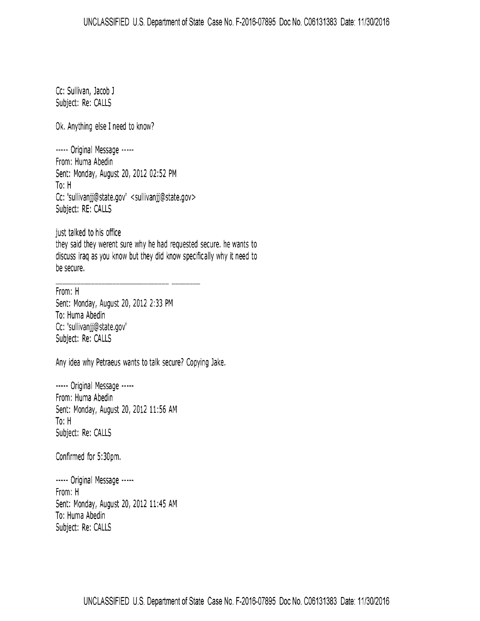Cc: Sullivan, Jacob J Subject: Re: CALLS

Ok. Anything else I need to know?

----- Original Message ----- From: Huma Abedin Sent: Monday, August 20, 2012 02:52 PM To: H Cc: 'sullivanjj@state.gov' <sullivanjj@state.gov> Subject: RE: CALLS

just talked to his office they said they werent sure why he had requested secure. he wants to discuss iraq as you know but they did know specifically why it need to be secure.

From: H Sent: Monday, August 20, 2012 2:33 PM To: Huma Abedin Cc: 'sullivanjj@state.gov' Subject: Re: CALLS

Any idea why Petraeus wants to talk secure? Copying Jake.

----- Original Message ----- From: Huma Abedin Sent: Monday, August 20, 2012 11:56 AM To: H Subject: Re: CALLS

Confirmed for 5:30pm.

----- Original Message ----- From: H Sent: Monday, August 20, 2012 11:45 AM To: Huma Abedin Subject: Re: CALLS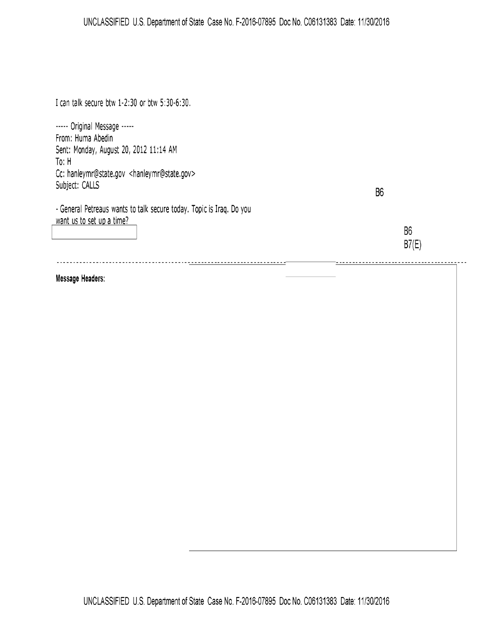## UNCLASSIFIED U.S. Department of State Case No. F-2016-07895 Doc No. C06131383 Date: 11/30/2016

I can talk secure btw 1-2:30 or btw 5:30-6:30.

----- Original Message ----- From: Huma Abedin Sent: Monday, August 20, 2012 11:14 AM To: H Cc: hanleymr@state.gov <hanleymr@state.gov> Subject: CALLS

-General Petreaus wants to talk secure today. Topic is Iraq. Do you want us to set up a time?

86

86 **87(E)** 

\_\_\_\_\_\_\_\_\_\_\_\_\_\_\_\_\_\_\_\_\_\_\_\_\_\_\_\_\_\_\_\_\_\_\_

## **Message Headers:**

I